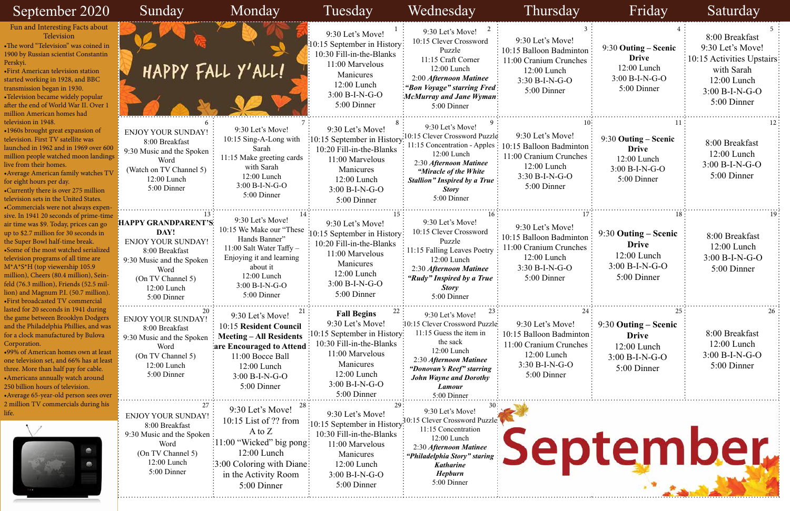| September 2020                                                                                                                                                                                                                                                                                                                                                                                                                                 | Sunday                                                                                                                                                             | Monday                                                                                                                                                                                   | Tuesday                                                                                                                                                                           | Wednesday                                                                                                                                                                                                                     | Thursday                                                                                                                   | Friday                                                                                     | Saturday                                                                                                                           |
|------------------------------------------------------------------------------------------------------------------------------------------------------------------------------------------------------------------------------------------------------------------------------------------------------------------------------------------------------------------------------------------------------------------------------------------------|--------------------------------------------------------------------------------------------------------------------------------------------------------------------|------------------------------------------------------------------------------------------------------------------------------------------------------------------------------------------|-----------------------------------------------------------------------------------------------------------------------------------------------------------------------------------|-------------------------------------------------------------------------------------------------------------------------------------------------------------------------------------------------------------------------------|----------------------------------------------------------------------------------------------------------------------------|--------------------------------------------------------------------------------------------|------------------------------------------------------------------------------------------------------------------------------------|
| Fun and Interesting Facts about<br>Television<br>•The word "Television" was coined in<br>1900 by Russian scientist Constantin<br>Perskyi.<br><b>•First American television station</b><br>started working in 1928, and BBC<br>transmission began in 1930.<br>•Television became widely popular<br>after the end of World War II. Over 1<br>million American homes had                                                                          |                                                                                                                                                                    | HAPPY FALL Y'ALL!                                                                                                                                                                        | 9:30 Let's Move!<br>$\frac{1}{2}10:15$ September in History<br>10:30 Fill-in-the-Blanks<br>11:00 Marvelous<br>Manicures<br>12:00 Lunch<br>$3:00 B-I-N-G-O$<br>5:00 Dinner         | 9:30 Let's Move!<br>10:15 Clever Crossword<br>Puzzle<br>11:15 Craft Corner<br>12:00 Lunch<br>2:00 Afternoon Matinee<br>"Bon Voyage" starring Fred:<br>McMurray and Jane Wyman:<br>5:00 Dinner                                 | 9:30 Let's Move!<br>10:15 Balloon Badminton<br>11:00 Cranium Crunches<br>12:00 Lunch<br>$3:30 B-I-N-G-O$<br>5:00 Dinner    | 9:30 Outing – Scenic<br><b>Drive</b><br>12:00 Lunch<br>3:00 B-I-N-G-O<br>5:00 Dinner       | 8:00 Breakfast<br>9:30 Let's Move!<br>: 10:15 Activities Upstairs:<br>with Sarah<br>12:00 Lunch<br>$3:00 B-I-N-G-O$<br>5:00 Dinner |
| television in 1948.<br>•1960s brought great expansion of<br>television. First TV satellite was<br>launched in 1962 and in 1969 over 600<br>million people watched moon landings<br>live from their homes.<br>• Average American family watches TV<br>for eight hours per day.<br>•Currently there is over 275 million<br>television sets in the United States.<br>•Commercials were not always expen                                           | <b>ENJOY YOUR SUNDAY!</b><br>8:00 Breakfast<br>9:30 Music and the Spoken<br>Word<br>(Watch on TV Channel 5)<br>$12:00$ Lunch<br>5:00 Dinner                        | 9:30 Let's Move!<br>10:15 Sing-A-Long with<br>Sarah<br>11:15 Make greeting cards<br>with Sarah<br>$12:00$ Lunch<br>$3:00 B-I-N-G-O$<br>5:00 Dinner                                       | 9:30 Let's Move!<br>10:15 September in History<br>10:20 Fill-in-the-Blanks<br>11:00 Marvelous<br>Manicures<br>$12:00$ Lunch<br>3:00 B-I-N-G-O<br>5:00 Dinner                      | 9:30 Let's Move!<br>10:15 Clever Crossword Puzzle<br>11:15 Concentration - Apples :<br>12:00 Lunch<br>2:30 Afternoon Matinee<br>"Miracle of the White"<br><b>Stallion</b> " Inspired by a True<br><b>Story</b><br>5:00 Dinner | 9:30 Let's Move!<br>10:15 Balloon Badminton:<br>11:00 Cranium Crunches<br>12:00 Lunch<br>$3:30 B-I-N-G-O$<br>5:00 Dinner   | $9:30$ Outing – Scenic<br><b>Drive</b><br>$12:00$ Lunch<br>$3:00 B-I-N-G-O$<br>5:00 Dinner | 8:00 Breakfast<br>12:00 Lunch<br>$3:00 B-I-N-G-O$<br>5:00 Dinner                                                                   |
| sive. In 1941 20 seconds of prime-time<br>air time was \$9. Today, prices can go<br>up to \$2.7 million for 30 seconds in<br>the Super Bowl half-time break.<br>•Some of the most watched serialized<br>television programs of all time are<br>M*A*S*H (top viewership 105.9<br>million), Cheers (80.4 million), Sein-<br>feld (76.3 million), Friends (52.5 mil-<br>lion) and Magnum P.I. (50.7 million).<br>·First broadcasted TV commercial | HAPPY GRANDPARENT'S<br>DAY!<br><b>ENJOY YOUR SUNDAY!</b><br>8:00 Breakfast<br>9:30 Music and the Spoken<br>Word<br>(On TV Channel 5)<br>12:00 Lunch<br>5:00 Dinner | 9:30 Let's Move!<br>10:15 We Make our "These"<br>Hands Banner"<br>$11:00$ Salt Water Taffy $-$<br>Enjoying it and learning<br>about it<br>12:00 Lunch<br>$3:00 B-I-N-G-O$<br>5:00 Dinner | 9:30 Let's Move!<br>10:15 September in History<br>10:20 Fill-in-the-Blanks<br>11:00 Marvelous<br>Manicures<br>12:00 Lunch<br>$3:00 B-I-N-G-O$<br>5:00 Dinner                      | 9:30 Let's Move!<br>10:15 Clever Crossword<br>Puzzle<br>11:15 Falling Leaves Poetry<br>12:00 Lunch<br>2:30 Afternoon Matinee<br>"Rudy" Inspired by a True<br><b>Story</b><br>5:00 Dinner                                      | 9:30 Let's Move!<br>10:15 Balloon Badminton<br>11:00 Cranium Crunches<br>12:00 Lunch<br>$3:30 B-I-N-G-O$<br>5:00 Dinner    | 9:30 Outing – Scenic<br><b>Drive</b><br>$12:00$ Lunch<br>$3:00 B-I-N-G-O$<br>5:00 Dinner   | 8:00 Breakfast<br>12:00 Lunch<br>$3:00 B-I-N-G-O$<br>5:00 Dinner                                                                   |
| lasted for 20 seconds in 1941 during<br>the game between Brooklyn Dodgers<br>and the Philadelphia Phillies, and was<br>for a clock manufactured by Bulova<br>Corporation.<br>.99% of American homes own at least<br>one television set, and 66% has at least<br>three. More than half pay for cable.<br>• Americans annually watch around<br>250 billion hours of television.<br>• Average 65-year-old person sees over                        | <b>ENJOY YOUR SUNDAY!</b><br>8:00 Breakfast<br>9:30 Music and the Spoken<br>Word<br>(On TV Channel 5)<br>$12:00$ Lunch<br>5:00 Dinner                              | 9:30 Let's Move!<br>10:15 Resident Council<br><b>Meeting – All Residents</b><br>are Encouraged to Attend<br>11:00 Bocce Ball<br>12:00 Lunch<br>$3:00 B-I-N-G-O$<br>5:00 Dinner           | <b>Fall Begins</b><br>9:30 Let's Move!<br>10:15 September in History:<br>10:30 Fill-in-the-Blanks<br>11:00 Marvelous<br>Manicures<br>12:00 Lunch<br>3:00 B-I-N-G-O<br>5:00 Dinner | 9:30 Let's Move!<br>:10:15 Clever Crossword Puzzle<br>11:15 Guess the item in<br>the sack<br>12:00 Lunch<br>2:30 Afternoon Matinee<br>"Donovan's Reef" starring<br><b>John Wayne and Dorothy</b><br>Lamour<br>5:00 Dinner     | 9:30 Let's Move!<br>10:15 Balloon Badminton:<br>11:00 Cranium Crunches :<br>12:00 Lunch<br>$3:30 B-I-N-G-O$<br>5:00 Dinner | $9:30$ Outing – Scenic<br><b>Drive</b><br>$12:00$ Lunch<br>$3:00 B-I-N-G-O$<br>5:00 Dinner | 8:00 Breakfast<br>$12:00$ Lunch<br>$3:00 B-I-N-G-O$<br>5:00 Dinner                                                                 |
| 2 million TV commercials during his<br>life.                                                                                                                                                                                                                                                                                                                                                                                                   | <b>ENJOY YOUR SUNDAY!</b><br>8:00 Breakfast<br>9:30 Music and the Spoken<br>Word<br>(On TV Channel 5)<br>$12:00$ Lunch<br>5:00 Dinner                              | 9:30 Let's Move!<br>$10:15$ List of ?? from<br>A to $Z$<br>$\frac{11:00}{ }$ "Wicked" big pong:<br>12:00 Lunch<br>:3:00 Coloring with Diane:<br>in the Activity Room<br>5:00 Dinner      | 9:30 Let's Move!<br>$\frac{1}{2}10:15$ September in History<br>10:30 Fill-in-the-Blanks<br>11:00 Marvelous<br>Manicures<br>12:00 Lunch<br>$3:00 B-I-N-G-O$<br>5:00 Dinner         | 9:30 Let's Move!<br>10:15 Clever Crossword Puzzle<br>11:15 Concentration<br>12:00 Lunch<br>2:30 Afternoon Matinee<br>"Philadelphia Story" staring<br><b>Katharine</b><br>Hepburn<br>5:00 Dinner                               |                                                                                                                            |                                                                                            | September.                                                                                                                         |